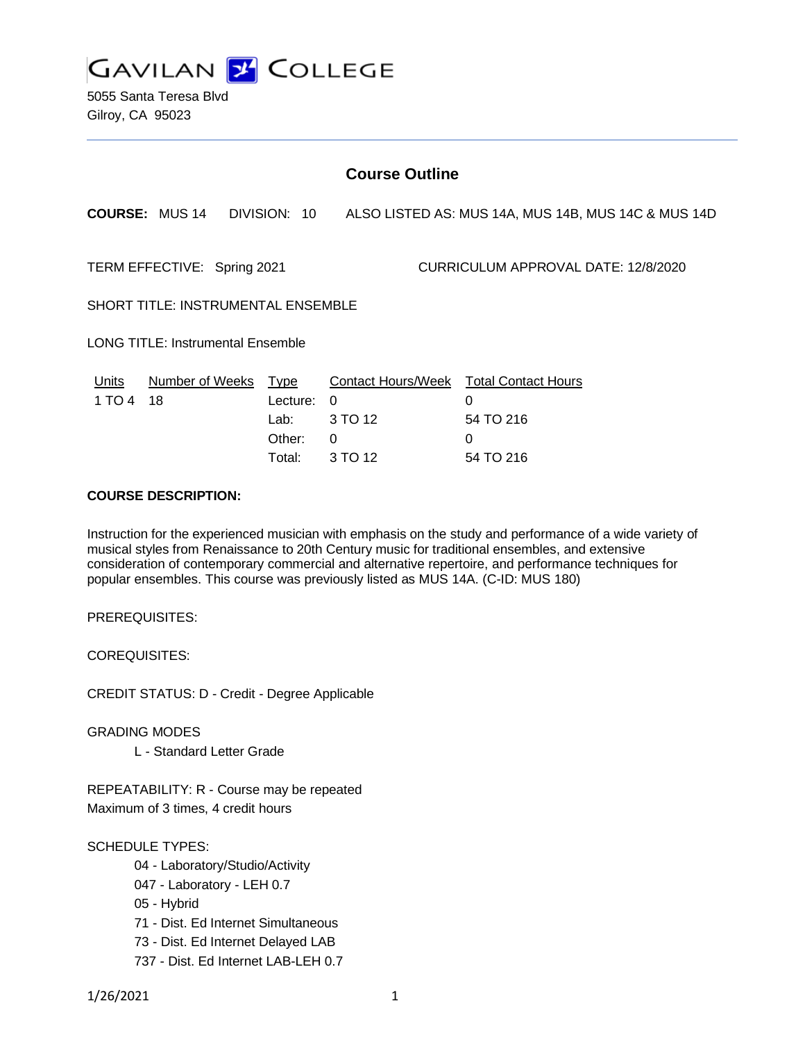

5055 Santa Teresa Blvd Gilroy, CA 95023

# **Course Outline**

**COURSE:** MUS 14 DIVISION: 10 ALSO LISTED AS: MUS 14A, MUS 14B, MUS 14C & MUS 14D

TERM EFFECTIVE: Spring 2021 CURRICULUM APPROVAL DATE: 12/8/2020

SHORT TITLE: INSTRUMENTAL ENSEMBLE

LONG TITLE: Instrumental Ensemble

| Units     | Number of Weeks Type |            | Contact Hours/Week Total Contact Hours |           |
|-----------|----------------------|------------|----------------------------------------|-----------|
| 1 TO 4 18 |                      | Lecture: 0 |                                        |           |
|           |                      |            | Lab: $3 \text{ TO } 12$                | 54 TO 216 |
|           |                      | Other:     | - 0                                    |           |
|           |                      | Total:     | 3 TO 12                                | 54 TO 216 |

#### **COURSE DESCRIPTION:**

Instruction for the experienced musician with emphasis on the study and performance of a wide variety of musical styles from Renaissance to 20th Century music for traditional ensembles, and extensive consideration of contemporary commercial and alternative repertoire, and performance techniques for popular ensembles. This course was previously listed as MUS 14A. (C-ID: MUS 180)

PREREQUISITES:

COREQUISITES:

CREDIT STATUS: D - Credit - Degree Applicable

GRADING MODES

L - Standard Letter Grade

REPEATABILITY: R - Course may be repeated Maximum of 3 times, 4 credit hours

SCHEDULE TYPES:

- 04 Laboratory/Studio/Activity
- 047 Laboratory LEH 0.7
- 05 Hybrid
- 71 Dist. Ed Internet Simultaneous
- 73 Dist. Ed Internet Delayed LAB
- 737 Dist. Ed Internet LAB-LEH 0.7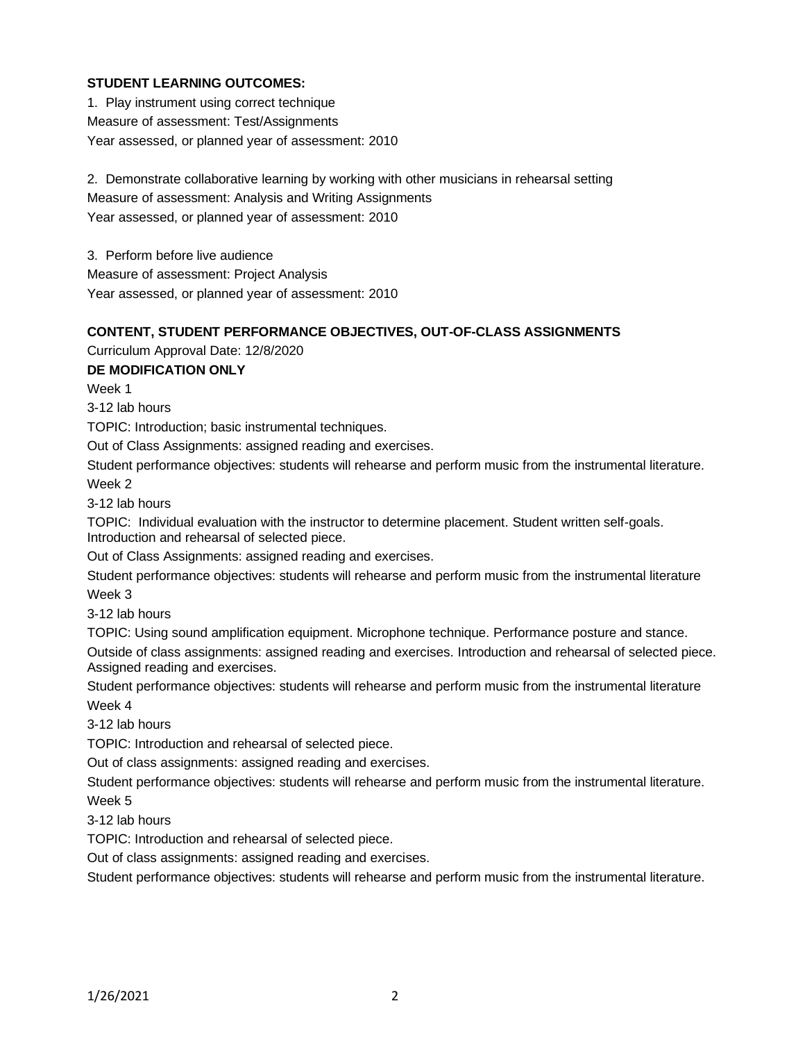#### **STUDENT LEARNING OUTCOMES:**

1. Play instrument using correct technique Measure of assessment: Test/Assignments Year assessed, or planned year of assessment: 2010

2. Demonstrate collaborative learning by working with other musicians in rehearsal setting Measure of assessment: Analysis and Writing Assignments Year assessed, or planned year of assessment: 2010

3. Perform before live audience

Measure of assessment: Project Analysis

Year assessed, or planned year of assessment: 2010

#### **CONTENT, STUDENT PERFORMANCE OBJECTIVES, OUT-OF-CLASS ASSIGNMENTS**

Curriculum Approval Date: 12/8/2020

## **DE MODIFICATION ONLY**

Week 1

3-12 lab hours

TOPIC: Introduction; basic instrumental techniques.

Out of Class Assignments: assigned reading and exercises.

Student performance objectives: students will rehearse and perform music from the instrumental literature.

Week 2

3-12 lab hours

TOPIC: Individual evaluation with the instructor to determine placement. Student written self-goals. Introduction and rehearsal of selected piece.

Out of Class Assignments: assigned reading and exercises.

Student performance objectives: students will rehearse and perform music from the instrumental literature Week 3

3-12 lab hours

TOPIC: Using sound amplification equipment. Microphone technique. Performance posture and stance.

Outside of class assignments: assigned reading and exercises. Introduction and rehearsal of selected piece. Assigned reading and exercises.

Student performance objectives: students will rehearse and perform music from the instrumental literature

Week 4

3-12 lab hours

TOPIC: Introduction and rehearsal of selected piece.

Out of class assignments: assigned reading and exercises.

Student performance objectives: students will rehearse and perform music from the instrumental literature. Week 5

3-12 lab hours

TOPIC: Introduction and rehearsal of selected piece.

Out of class assignments: assigned reading and exercises.

Student performance objectives: students will rehearse and perform music from the instrumental literature.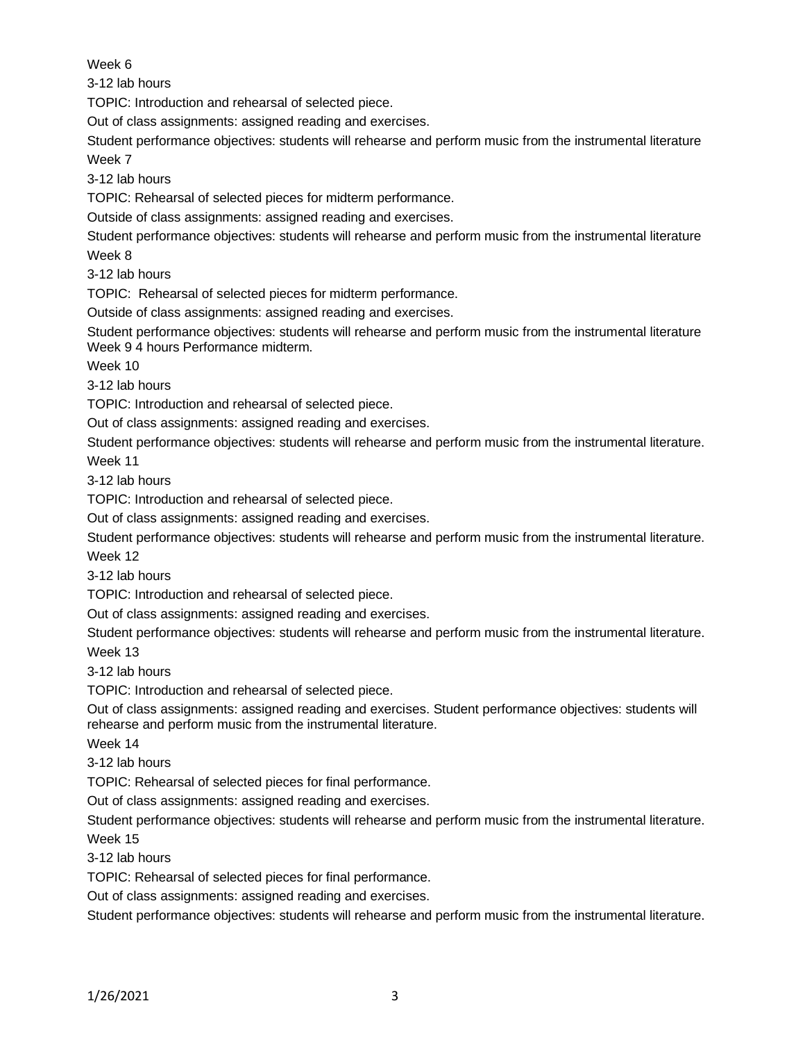Week 6

3-12 lab hours

TOPIC: Introduction and rehearsal of selected piece.

Out of class assignments: assigned reading and exercises.

Student performance objectives: students will rehearse and perform music from the instrumental literature Week 7

3-12 lab hours

TOPIC: Rehearsal of selected pieces for midterm performance.

Outside of class assignments: assigned reading and exercises.

Student performance objectives: students will rehearse and perform music from the instrumental literature Week 8

3-12 lab hours

TOPIC: Rehearsal of selected pieces for midterm performance.

Outside of class assignments: assigned reading and exercises.

Student performance objectives: students will rehearse and perform music from the instrumental literature Week 9 4 hours Performance midterm.

Week 10

3-12 lab hours

TOPIC: Introduction and rehearsal of selected piece.

Out of class assignments: assigned reading and exercises.

Student performance objectives: students will rehearse and perform music from the instrumental literature. Week 11

3-12 lab hours

TOPIC: Introduction and rehearsal of selected piece.

Out of class assignments: assigned reading and exercises.

Student performance objectives: students will rehearse and perform music from the instrumental literature. Week 12

3-12 lab hours

TOPIC: Introduction and rehearsal of selected piece.

Out of class assignments: assigned reading and exercises.

Student performance objectives: students will rehearse and perform music from the instrumental literature. Week 13

3-12 lab hours

TOPIC: Introduction and rehearsal of selected piece.

Out of class assignments: assigned reading and exercises. Student performance objectives: students will rehearse and perform music from the instrumental literature.

Week 14

3-12 lab hours

TOPIC: Rehearsal of selected pieces for final performance.

Out of class assignments: assigned reading and exercises.

Student performance objectives: students will rehearse and perform music from the instrumental literature. Week 15

3-12 lab hours

TOPIC: Rehearsal of selected pieces for final performance.

Out of class assignments: assigned reading and exercises.

Student performance objectives: students will rehearse and perform music from the instrumental literature.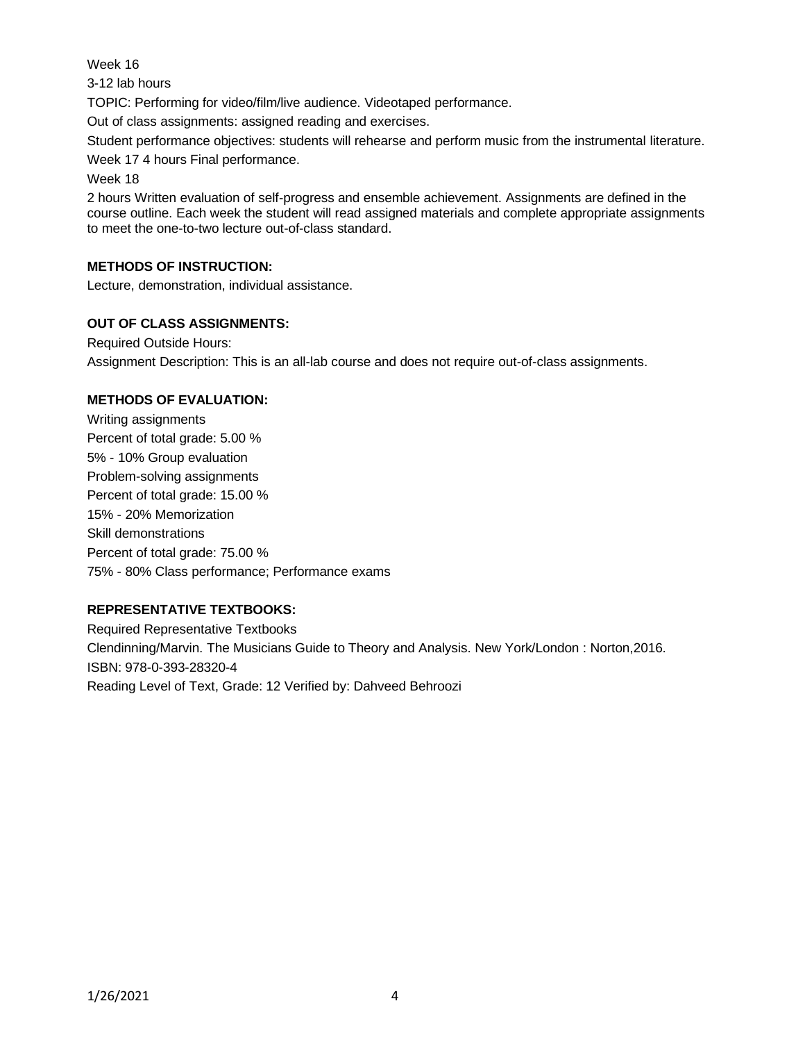Week 16

3-12 lab hours

TOPIC: Performing for video/film/live audience. Videotaped performance.

Out of class assignments: assigned reading and exercises.

Student performance objectives: students will rehearse and perform music from the instrumental literature.

Week 17 4 hours Final performance.

Week 18

2 hours Written evaluation of self-progress and ensemble achievement. Assignments are defined in the course outline. Each week the student will read assigned materials and complete appropriate assignments to meet the one-to-two lecture out-of-class standard.

# **METHODS OF INSTRUCTION:**

Lecture, demonstration, individual assistance.

# **OUT OF CLASS ASSIGNMENTS:**

Required Outside Hours: Assignment Description: This is an all-lab course and does not require out-of-class assignments.

# **METHODS OF EVALUATION:**

Writing assignments Percent of total grade: 5.00 % 5% - 10% Group evaluation Problem-solving assignments Percent of total grade: 15.00 % 15% - 20% Memorization Skill demonstrations Percent of total grade: 75.00 % 75% - 80% Class performance; Performance exams

# **REPRESENTATIVE TEXTBOOKS:**

Required Representative Textbooks Clendinning/Marvin. The Musicians Guide to Theory and Analysis. New York/London : Norton,2016. ISBN: 978-0-393-28320-4 Reading Level of Text, Grade: 12 Verified by: Dahveed Behroozi